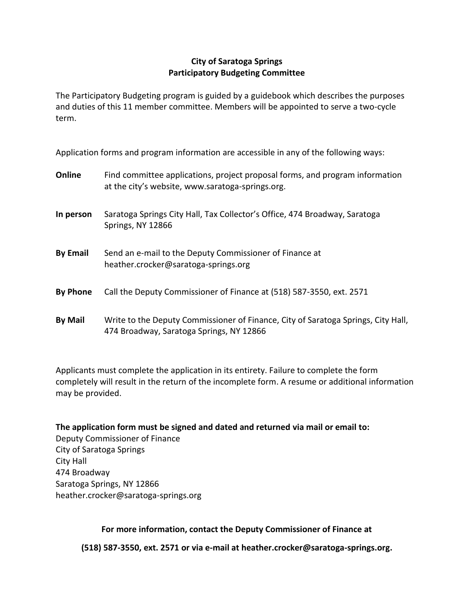## **City of Saratoga Springs Participatory Budgeting Committee**

The Participatory Budgeting program is guided by a guidebook which describes the purposes and duties of this 11 member committee. Members will be appointed to serve a two-cycle term.

Application forms and program information are accessible in any of the following ways:

| Online          | Find committee applications, project proposal forms, and program information<br>at the city's website, www.saratoga-springs.org. |
|-----------------|----------------------------------------------------------------------------------------------------------------------------------|
| In person       | Saratoga Springs City Hall, Tax Collector's Office, 474 Broadway, Saratoga<br>Springs, NY 12866                                  |
| <b>By Email</b> | Send an e-mail to the Deputy Commissioner of Finance at<br>heather.crocker@saratoga-springs.org                                  |
| <b>By Phone</b> | Call the Deputy Commissioner of Finance at (518) 587-3550, ext. 2571                                                             |
| <b>By Mail</b>  | Write to the Deputy Commissioner of Finance, City of Saratoga Springs, City Hall,<br>474 Broadway, Saratoga Springs, NY 12866    |

Applicants must complete the application in its entirety. Failure to complete the form completely will result in the return of the incomplete form. A resume or additional information may be provided.

**The application form must be signed and dated and returned via mail or email to:** Deputy Commissioner of Finance City of Saratoga Springs City Hall 474 Broadway Saratoga Springs, NY 12866 heather.crocker@saratoga-springs.org

**For more information, contact the Deputy Commissioner of Finance at** 

**(518) 587-3550, ext. 2571 or via e-mail at heather.crocker@saratoga-springs.org.**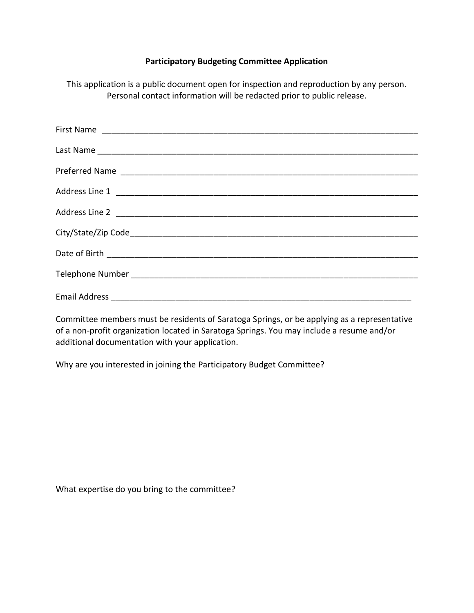## **Participatory Budgeting Committee Application**

This application is a public document open for inspection and reproduction by any person. Personal contact information will be redacted prior to public release.

Committee members must be residents of Saratoga Springs, or be applying as a representative of a non-profit organization located in Saratoga Springs. You may include a resume and/or additional documentation with your application.

Why are you interested in joining the Participatory Budget Committee?

What expertise do you bring to the committee?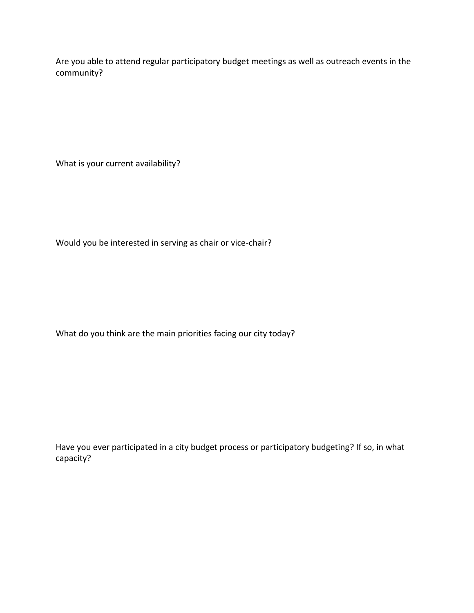Are you able to attend regular participatory budget meetings as well as outreach events in the community?

What is your current availability?

Would you be interested in serving as chair or vice-chair?

What do you think are the main priorities facing our city today?

Have you ever participated in a city budget process or participatory budgeting? If so, in what capacity?